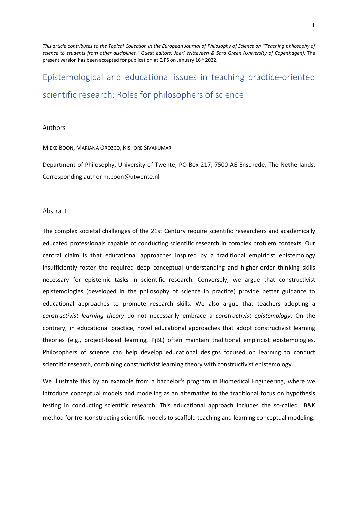*This article contributes to the Topical Collection in the European Journal of Philosophy of Science on "Teaching philosophy of*  science to students from other disciplines." Guest editors: Joeri Witteveen & Sara Green (University of Copenhagen). The present version has been accepted for publication at EJPS on January 16th 2022.

# Epistemological and educational issues in teaching practice-oriented scientific research: Roles for philosophers of science

#### Authors

#### MIEKE BOON, MARIANA OROZCO, KISHORE SIVAKUMAR

Department of Philosophy, University of Twente, PO Box 217, 7500 AE Enschede, The Netherlands. Corresponding autho[r m.boon@utwente.nl](mailto:m.boon@utwente.nl)

#### Abstract

The complex societal challenges of the 21st Century require scientific researchers and academically educated professionals capable of conducting scientific research in complex problem contexts. Our central claim is that educational approaches inspired by a traditional empiricist epistemology insufficiently foster the required deep conceptual understanding and higher-order thinking skills necessary for epistemic tasks in scientific research. Conversely, we argue that constructivist epistemologies (developed in the philosophy of science in practice) provide better guidance to educational approaches to promote research skills. We also argue that teachers adopting a *constructivist learning theory* do not necessarily embrace a *constructivist epistemology*. On the contrary, in educational practice, novel educational approaches that adopt constructivist learning theories (e.g., project-based learning, PjBL) often maintain traditional empiricist epistemologies. Philosophers of science can help develop educational designs focused on learning to conduct scientific research, combining constructivist learning theory with constructivist epistemology.

We illustrate this by an example from a bachelor's program in Biomedical Engineering, where we introduce conceptual models and modeling as an alternative to the traditional focus on hypothesis testing in conducting scientific research. This educational approach includes the so-called B&K method for (re-)constructing scientific models to scaffold teaching and learning conceptual modeling.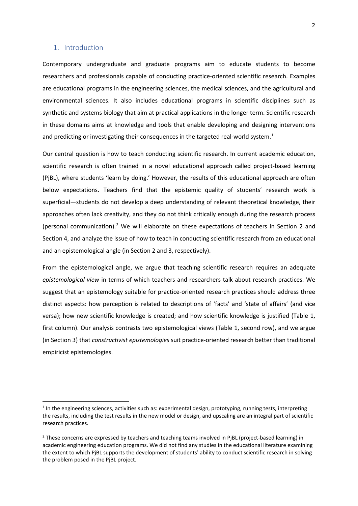## 1. Introduction

Contemporary undergraduate and graduate programs aim to educate students to become researchers and professionals capable of conducting practice-oriented scientific research. Examples are educational programs in the engineering sciences, the medical sciences, and the agricultural and environmental sciences. It also includes educational programs in scientific disciplines such as synthetic and systems biology that aim at practical applications in the longer term. Scientific research in these domains aims at knowledge and tools that enable developing and designing interventions and predicting or investigating their consequences in the targeted real-world system. $<sup>1</sup>$ </sup>

Our central question is how to teach conducting scientific research. In current academic education, scientific research is often trained in a novel educational approach called project-based learning (PjBL), where students 'learn by doing.' However, the results of this educational approach are often below expectations. Teachers find that the epistemic quality of students' research work is superficial—students do not develop a deep understanding of relevant theoretical knowledge, their approaches often lack creativity, and they do not think critically enough during the research process (personal communication).<sup>[2](#page-1-1)</sup> We will elaborate on these expectations of teachers in Section 2 and Section 4, and analyze the issue of how to teach in conducting scientific research from an educational and an epistemological angle (in Section 2 and 3, respectively).

From the epistemological angle, we argue that teaching scientific research requires an adequate *epistemological view* in terms of which teachers and researchers talk about research practices. We suggest that an epistemology suitable for practice-oriented research practices should address three distinct aspects: how perception is related to descriptions of 'facts' and 'state of affairs' (and vice versa); how new scientific knowledge is created; and how scientific knowledge is justified (Table 1, first column). Our analysis contrasts two epistemological views (Table 1, second row), and we argue (in Section 3) that *constructivist epistemologies* suit practice-oriented research better than traditional empiricist epistemologies.

<span id="page-1-0"></span> $1$  In the engineering sciences, activities such as: experimental design, prototyping, running tests, interpreting the results, including the test results in the new model or design, and upscaling are an integral part of scientific research practices.

<span id="page-1-1"></span> $2$  These concerns are expressed by teachers and teaching teams involved in PiBL (project-based learning) in academic engineering education programs. We did not find any studies in the educational literature examining the extent to which PjBL supports the development of students' ability to conduct scientific research in solving the problem posed in the PjBL project.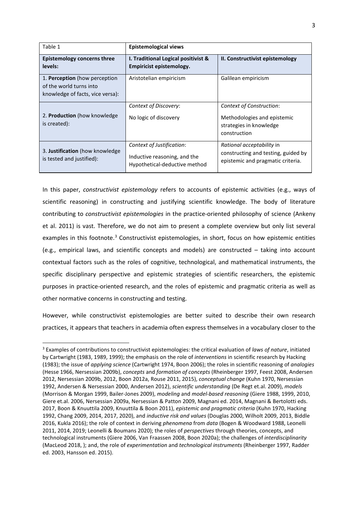| Table 1                                                                                      | <b>Epistemological views</b>                                                               |                                                                                                       |
|----------------------------------------------------------------------------------------------|--------------------------------------------------------------------------------------------|-------------------------------------------------------------------------------------------------------|
| Epistemology concerns three<br>levels:                                                       | I. Traditional Logical positivist &<br>Empiricist epistemology.                            | II. Constructivist epistemology                                                                       |
| 1. Perception (how perception<br>of the world turns into<br>knowledge of facts, vice versa): | Aristotelian empiricism                                                                    | Galilean empiricism                                                                                   |
| 2. Production (how knowledge)<br>is created):                                                | Context of Discovery:<br>No logic of discovery                                             | Context of Construction:<br>Methodologies and epistemic<br>strategies in knowledge<br>construction    |
| 3. Justification (how knowledge)<br>is tested and justified):                                | Context of Justification:<br>Inductive reasoning, and the<br>Hypothetical-deductive method | Rational acceptability in<br>constructing and testing, guided by<br>epistemic and pragmatic criteria. |

In this paper, *constructivist epistemology* refers to accounts of epistemic activities (e.g., ways of scientific reasoning) in constructing and justifying scientific knowledge. The body of literature contributing to *constructivist epistemologies* in the practice-oriented philosophy of science (Ankeny et al. 2011) is vast. Therefore, we do not aim to present a complete overview but only list several examples in this footnote.<sup>[3](#page-2-0)</sup> Constructivist epistemologies, in short, focus on how epistemic entities (e.g., empirical laws, and scientific concepts and models) are constructed – taking into account contextual factors such as the roles of cognitive, technological, and mathematical instruments, the specific disciplinary perspective and epistemic strategies of scientific researchers, the epistemic purposes in practice-oriented research, and the roles of epistemic and pragmatic criteria as well as other normative concerns in constructing and testing.

However, while constructivist epistemologies are better suited to describe their own research practices, it appears that teachers in academia often express themselves in a vocabulary closer to the

<span id="page-2-0"></span><sup>3</sup> Examples of contributions to constructivist epistemologies: the critical evaluation of *laws of nature*, initiated by Cartwright (1983, 1989, 1999); the emphasis on the role of *interventions* in scientific research by Hacking (1983); the issue of *applying science* (Cartwright 1974, Boon 2006); the roles in scientific reasoning of *analogies* (Hesse 1966, Nersessian 2009b), *concepts* and *formation of concepts* (Rheinberger 1997, Feest 2008, Andersen 2012, Nersessian 2009b, 2012, Boon 2012a, Rouse 2011, 2015), *conceptual change* (Kuhn 1970, Nersessian 1992, Andersen & Nersessian 2000, Andersen 2012), *scientific understanding* (De Regt et.al. 2009), *models* (Morrison & Morgan 1999, Bailer-Jones 2009), *modeling* and *model-based reasoning* (Giere 1988, 1999, 2010, Giere et.al. 2006, Nersessian 2009a, Nersessian & Patton 2009, Magnani ed. 2014, Magnani & Bertolotti eds. 2017, Boon & Knuuttila 2009, Knuuttila & Boon 2011), *epistemic and pragmatic criteria* (Kuhn 1970, Hacking 1992, Chang 2009, 2014, 2017, 2020), and *inductive risk and values* (Douglas 2000, Wilholt 2009, 2013, Biddle 2016, Kukla 2016); the role of context in deriving *phenomena* from *data* (Bogen & Woodward 1988, Leonelli 2011, 2014, 2019; Leonelli & Boumans 2020); the roles of *perspectives* through theories, concepts, and technological instruments (Giere 2006, Van Fraassen 2008, Boon 2020a); the challenges of *interdisciplinarity* (MacLeod 2018, ); and, the role of *experimentation* and *technological instruments* (Rheinberger 1997, Radder ed. 2003, Hansson ed. 2015).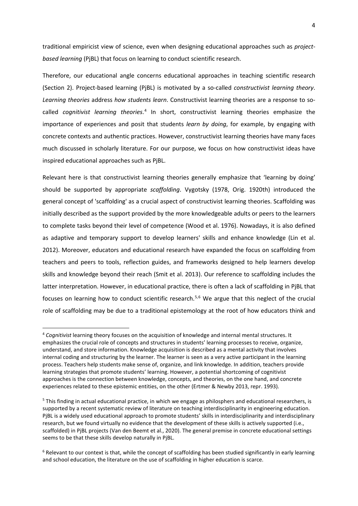traditional empiricist view of science, even when designing educational approaches such as *projectbased learning* (PjBL) that focus on learning to conduct scientific research.

Therefore, our educational angle concerns educational approaches in teaching scientific research (Section 2). Project-based learning (PjBL) is motivated by a so-called *constructivist learning theory*. *Learning theories* address *how students learn*. Constructivist learning theories are a response to socalled *cognitivist learning theories*. [4](#page-3-0) In short, constructivist learning theories emphasize the importance of experiences and posit that students *learn by doing*, for example, by engaging with concrete contexts and authentic practices. However, constructivist learning theories have many faces much discussed in scholarly literature. For our purpose, we focus on how constructivist ideas have inspired educational approaches such as PjBL.

Relevant here is that constructivist learning theories generally emphasize that 'learning by doing' should be supported by appropriate *scaffolding*. Vygotsky (1978, Orig. 1920th) introduced the general concept of 'scaffolding' as a crucial aspect of constructivist learning theories. Scaffolding was initially described as the support provided by the more knowledgeable adults or peers to the learners to complete tasks beyond their level of competence (Wood et al. 1976). Nowadays, it is also defined as adaptive and temporary support to develop learners' skills and enhance knowledge (Lin et al. 2012). Moreover, educators and educational research have expanded the focus on scaffolding from teachers and peers to tools, reflection guides, and frameworks designed to help learners develop skills and knowledge beyond their reach (Smit et al. 2013). Our reference to scaffolding includes the latter interpretation. However, in educational practice, there is often a lack of scaffolding in PjBL that focuses on learning how to conduct scientific research.<sup>[5,](#page-3-1)[6](#page-3-2)</sup> We argue that this neglect of the crucial role of scaffolding may be due to a traditional epistemology at the root of how educators think and

<span id="page-3-0"></span><sup>4</sup> *Cognitivist* learning theory focuses on the acquisition of knowledge and internal mental structures. It emphasizes the crucial role of concepts and structures in students' learning processes to receive, organize, understand, and store information. Knowledge acquisition is described as a mental activity that involves internal coding and structuring by the learner. The learner is seen as a very active participant in the learning process. Teachers help students make sense of, organize, and link knowledge. In addition, teachers provide learning strategies that promote students' learning. However, a potential shortcoming of cognitivist approaches is the connection between knowledge, concepts, and theories, on the one hand, and concrete experiences related to these epistemic entities, on the other (Ertmer & Newby 2013, repr. 1993).

<span id="page-3-1"></span><sup>&</sup>lt;sup>5</sup> This finding in actual educational practice, in which we engage as philosphers and educational researchers, is supported by a recent systematic review of literature on teaching interdisciplinarity in engineering education. PjBL is a widely used educational approach to promote students' skills in interdisciplinarity and interdisciplinary research, but we found virtually no evidence that the development of these skills is actively supported (i.e., scaffolded) in PjBL projects (Van den Beemt et al., 2020). The general premise in concrete educational settings seems to be that these skills develop naturally in PjBL.

<span id="page-3-2"></span><sup>&</sup>lt;sup>6</sup> Relevant to our context is that, while the concept of scaffolding has been studied significantly in early learning and school education, the literature on the use of scaffolding in higher education is scarce.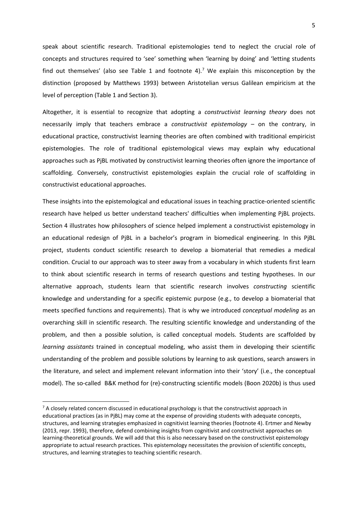speak about scientific research. Traditional epistemologies tend to neglect the crucial role of concepts and structures required to 'see' something when 'learning by doing' and 'letting students find out themselves' (also see Table 1 and footnote 4).<sup>7</sup> We explain this misconception by the distinction (proposed by Matthews 1993) between Aristotelian versus Galilean empiricism at the level of perception (Table 1 and Section 3).

Altogether, it is essential to recognize that adopting a *constructivist learning theory* does not necessarily imply that teachers embrace a *constructivist epistemology* – on the contrary, in educational practice, constructivist learning theories are often combined with traditional empiricist epistemologies. The role of traditional epistemological views may explain why educational approaches such as PjBL motivated by constructivist learning theories often ignore the importance of scaffolding. Conversely, constructivist epistemologies explain the crucial role of scaffolding in constructivist educational approaches.

These insights into the epistemological and educational issues in teaching practice-oriented scientific research have helped us better understand teachers' difficulties when implementing PjBL projects. Section 4 illustrates how philosophers of science helped implement a constructivist epistemology in an educational redesign of PjBL in a bachelor's program in biomedical engineering. In this PjBL project, students conduct scientific research to develop a biomaterial that remedies a medical condition. Crucial to our approach was to steer away from a vocabulary in which students first learn to think about scientific research in terms of research questions and testing hypotheses. In our alternative approach, students learn that scientific research involves *constructing* scientific knowledge and understanding for a specific epistemic purpose (e.g., to develop a biomaterial that meets specified functions and requirements). That is why we introduced *conceptual modeling* as an overarching skill in scientific research. The resulting scientific knowledge and understanding of the problem, and then a possible solution, is called conceptual models. Students are scaffolded by *learning assistants* trained in conceptual modeling, who assist them in developing their scientific understanding of the problem and possible solutions by learning to ask questions, search answers in the literature, and select and implement relevant information into their 'story' (i.e., the conceptual model). The so-called B&K method for (re)-constructing scientific models (Boon 2020b) is thus used

<span id="page-4-0"></span> $7$  A closely related concern discussed in educational psychology is that the constructivist approach in educational practices (as in PjBL) may come at the expense of providing students with adequate concepts, structures, and learning strategies emphasized in cognitivist learning theories (footnote 4). Ertmer and Newby (2013, repr. 1993), therefore, defend combining insights from cognitivist and constructivist approaches on learning-theoretical grounds. We will add that this is also necessary based on the constructivist epistemology appropriate to actual research practices. This epistemology necessitates the provision of scientific concepts, structures, and learning strategies to teaching scientific research.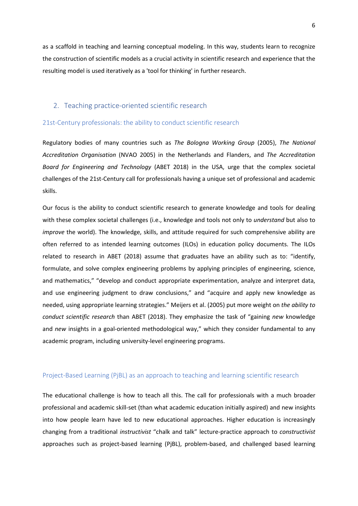as a scaffold in teaching and learning conceptual modeling. In this way, students learn to recognize the construction of scientific models as a crucial activity in scientific research and experience that the resulting model is used iteratively as a 'tool for thinking' in further research.

## 2. Teaching practice-oriented scientific research

## 21st-Century professionals: the ability to conduct scientific research

Regulatory bodies of many countries such as *The Bologna Working Group* (2005), *The National Accreditation Organisation* (NVAO 2005) in the Netherlands and Flanders, and *The Accreditation Board for Engineering and Technology* (ABET 2018) in the USA, urge that the complex societal challenges of the 21st-Century call for professionals having a unique set of professional and academic skills.

Our focus is the ability to conduct scientific research to generate knowledge and tools for dealing with these complex societal challenges (i.e., knowledge and tools not only to *understand* but also to *improve* the world). The knowledge, skills, and attitude required for such comprehensive ability are often referred to as intended learning outcomes (ILOs) in education policy documents. The ILOs related to research in ABET (2018) assume that graduates have an ability such as to: "identify, formulate, and solve complex engineering problems by applying principles of engineering, science, and mathematics," "develop and conduct appropriate experimentation, analyze and interpret data, and use engineering judgment to draw conclusions," and "acquire and apply new knowledge as needed, using appropriate learning strategies." Meijers et al. (2005) put more weight on *the ability to conduct scientific research* than ABET (2018). They emphasize the task of "gaining *new* knowledge and *new* insights in a goal-oriented methodological way," which they consider fundamental to any academic program, including university-level engineering programs.

#### Project-Based Learning (PjBL) as an approach to teaching and learning scientific research

The educational challenge is how to teach all this. The call for professionals with a much broader professional and academic skill-set (than what academic education initially aspired) and new insights into how people learn have led to new educational approaches. Higher education is increasingly changing from a traditional *instructivist* "chalk and talk" lecture-practice approach to *constructivist* approaches such as project-based learning (PjBL), problem-based, and challenged based learning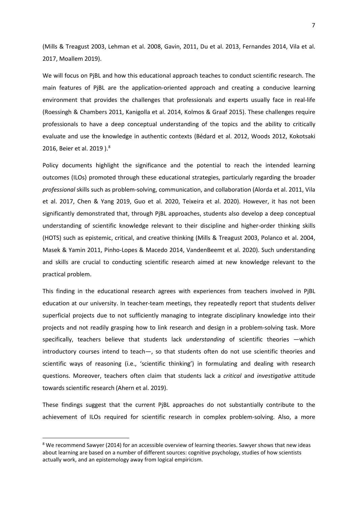(Mills & Treagust 2003, Lehman et al. 2008, Gavin, 2011, Du et al. 2013, Fernandes 2014, Vila et al. 2017, Moallem 2019).

We will focus on PjBL and how this educational approach teaches to conduct scientific research. The main features of PjBL are the application-oriented approach and creating a conducive learning environment that provides the challenges that professionals and experts usually face in real-life (Roessingh & Chambers 2011, Kanigolla et al. 2014, Kolmos & Graaf 2015). These challenges require professionals to have a deep conceptual understanding of the topics and the ability to critically evaluate and use the knowledge in authentic contexts (Bédard et al. 2012, Woods 2012, Kokotsaki 2016, Beier et al. 2019).<sup>[8](#page-6-0)</sup>

Policy documents highlight the significance and the potential to reach the intended learning outcomes (ILOs) promoted through these educational strategies, particularly regarding the broader *professional* skills such as problem-solving, communication, and collaboration (Alorda et al. 2011, Vila et al. 2017, Chen & Yang 2019, Guo et al. 2020, Teixeira et al. 2020). However, it has not been significantly demonstrated that, through PjBL approaches, students also develop a deep conceptual understanding of scientific knowledge relevant to their discipline and higher-order thinking skills (HOTS) such as epistemic, critical, and creative thinking (Mills & Treagust 2003, Polanco et al. 2004, Masek & Yamin 2011, Pinho-Lopes & Macedo 2014, VandenBeemt et al. 2020). Such understanding and skills are crucial to conducting scientific research aimed at new knowledge relevant to the practical problem.

This finding in the educational research agrees with experiences from teachers involved in PjBL education at our university. In teacher-team meetings, they repeatedly report that students deliver superficial projects due to not sufficiently managing to integrate disciplinary knowledge into their projects and not readily grasping how to link research and design in a problem-solving task. More specifically, teachers believe that students lack *understanding* of scientific theories —which introductory courses intend to teach—, so that students often do not use scientific theories and scientific ways of reasoning (i.e., 'scientific thinking') in formulating and dealing with research questions. Moreover, teachers often claim that students lack a *critical* and *investigative* attitude towards scientific research (Ahern et al. 2019).

These findings suggest that the current PjBL approaches do not substantially contribute to the achievement of ILOs required for scientific research in complex problem-solving. Also, a more

<span id="page-6-0"></span><sup>&</sup>lt;sup>8</sup> We recommend Sawyer (2014) for an accessible overview of learning theories. Sawyer shows that new ideas about learning are based on a number of different sources: cognitive psychology, studies of how scientists actually work, and an epistemology away from logical empiricism.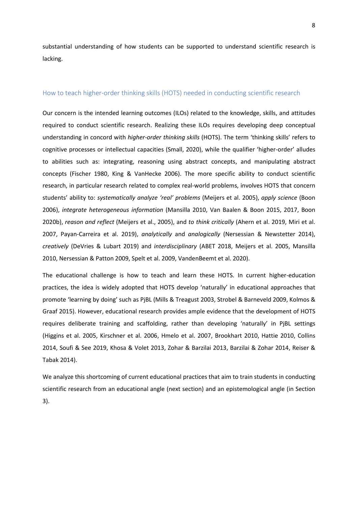substantial understanding of how students can be supported to understand scientific research is lacking.

#### How to teach higher-order thinking skills (HOTS) needed in conducting scientific research

Our concern is the intended learning outcomes (ILOs) related to the knowledge, skills, and attitudes required to conduct scientific research. Realizing these ILOs requires developing deep conceptual understanding in concord with *higher-order thinking skills* (HOTS). The term 'thinking skills' refers to cognitive processes or intellectual capacities (Small, 2020), while the qualifier 'higher-order' alludes to abilities such as: integrating, reasoning using abstract concepts, and manipulating abstract concepts (Fischer 1980, King & VanHecke 2006). The more specific ability to conduct scientific research, in particular research related to complex real-world problems, involves HOTS that concern students' ability to: *systematically analyze 'real' problems* (Meijers et al. 2005), *apply science* (Boon 2006), *integrate heterogeneous information* (Mansilla 2010, Van Baalen & Boon 2015, 2017, Boon 2020b), *reason and reflect* (Meijers et al., 2005), and *to think critically* (Ahern et al. 2019, Miri et al. 2007, Payan-Carreira et al. 2019), *analytically* and *analogically* (Nersessian & Newstetter 2014), *creatively* (DeVries & Lubart 2019) and *interdisciplinary* (ABET 2018, Meijers et al. 2005, Mansilla 2010, Nersessian & Patton 2009, Spelt et al. 2009, VandenBeemt et al. 2020).

The educational challenge is how to teach and learn these HOTS. In current higher-education practices, the idea is widely adopted that HOTS develop 'naturally' in educational approaches that promote 'learning by doing' such as PjBL (Mills & Treagust 2003, Strobel & Barneveld 2009, Kolmos & Graaf 2015). However, educational research provides ample evidence that the development of HOTS requires deliberate training and scaffolding, rather than developing 'naturally' in PjBL settings (Higgins et al. 2005, Kirschner et al. 2006, Hmelo et al. 2007, Brookhart 2010, Hattie 2010, Collins 2014, Soufi & See 2019, Khosa & Volet 2013, Zohar & Barzilai 2013, Barzilai & Zohar 2014, Reiser & Tabak 2014).

We analyze this shortcoming of current educational practices that aim to train students in conducting scientific research from an educational angle (next section) and an epistemological angle (in Section 3).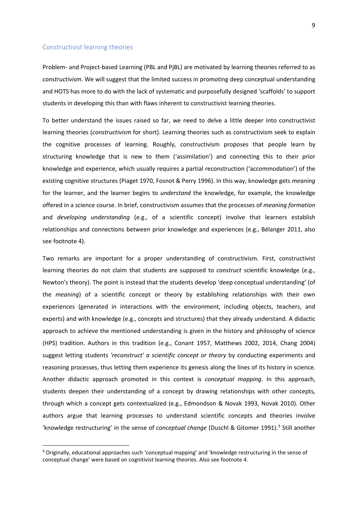#### Constructivist learning theories

Problem- and Project-based Learning (PBL and PjBL) are motivated by learning theories referred to as *constructivism*. We will suggest that the limited success in promoting deep conceptual understanding and HOTS has more to do with the lack of systematic and purposefully designed 'scaffolds' to support students in developing this than with flaws inherent to constructivist learning theories.

To better understand the issues raised so far, we need to delve a little deeper into constructivist learning theories (*constructivism* for short). Learning theories such as constructivism seek to explain the cognitive processes of learning. Roughly, constructivism proposes that people learn by structuring knowledge that is new to them ('assimilation') and connecting this to their prior knowledge and experience, which usually requires a partial reconstruction ('accommodation') of the existing cognitive structures (Piaget 1970, Fosnot & Perry 1996). In this way, knowledge gets *meaning* for the learner, and the learner begins to *understand* the knowledge, for example, the knowledge offered in a science course. In brief, constructivism assumes that the processes of *meaning formation* and *developing understanding* (e.g., of a scientific concept) involve that learners establish relationships and connections between prior knowledge and experiences (e.g., Bélanger 2011, also see footnote 4).

Two remarks are important for a proper understanding of constructivism. First, constructivist learning theories do not claim that students are supposed to *construct* scientific knowledge (e.g., Newton's theory). The point is instead that the students develop 'deep conceptual understanding' (of the *meaning*) of a scientific concept or theory by establishing relationships with their own experiences (generated in interactions with the environment, including objects, teachers, and experts) and with knowledge (e.g., concepts and structures) that they already understand. A didactic approach to achieve the mentioned understanding is given in the history and philosophy of science (HPS) tradition. Authors in this tradition (e.g., Conant 1957, Matthews 2002, 2014, Chang 2004) suggest letting students *'reconstruct' a scientific concept or theory* by conducting experiments and reasoning processes, thus letting them experience its genesis along the lines of its history in science. Another didactic approach promoted in this context is *conceptual mapping*. In this approach, students deepen their understanding of a concept by drawing relationships with other concepts, through which a concept gets contextualized (e.g., Edmondson & Novak 1993, Novak 2010). Other authors argue that learning processes to understand scientific concepts and theories involve 'knowledge restructuring' in the sense of *conceptual change* (Duschl & Gitomer 1991). [9](#page-8-0) Still another

<span id="page-8-0"></span><sup>9</sup> Originally, educational approaches such 'conceptual mapping' and 'knowledge restructuring in the sense of conceptual change' were based on cognitivist learning theories. Also see footnote 4.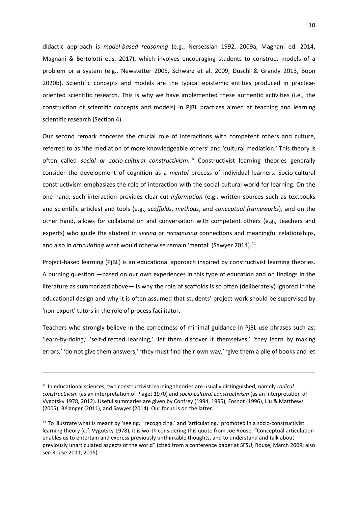didactic approach is *model-based reasoning* (e.g., Nersessian 1992, 2009a, Magnani ed. 2014, Magnani & Bertolotti eds. 2017), which involves encouraging students to construct models of a problem or a system (e.g., Newstetter 2005, Schwarz et al. 2009, Duschl & Grandy 2013, Boon 2020b). Scientific concepts and models are the typical epistemic entities produced in practiceoriented scientific research. This is why we have implemented these authentic activities (i.e., the construction of scientific concepts and models) in PjBL practices aimed at teaching and learning scientific research (Section 4).

Our second remark concerns the crucial role of interactions with competent others and culture, referred to as 'the mediation of more knowledgeable others' and 'cultural mediation.' This theory is often called *social or socio-cultural constructivism*. [10](#page-9-0) Constructivist learning theories generally consider the development of cognition as a *mental* process of individual learners. Socio-cultural constructivism emphasizes the role of interaction with the social-cultural world for learning. On the one hand, such interaction provides clear-cut *information* (e.g., written sources such as textbooks and scientific articles) and tools (e.g., *scaffolds*, *methods*, and *conceptual frameworks*), and on the other hand, allows for collaboration and conversation with competent others (e.g., teachers and experts) who guide the student in *seeing* or *recognizing* connections and meaningful relationships, and also in *articulating* what would otherwise remain 'mental' (Sawyer 2014).<sup>[11](#page-9-1)</sup>

Project-based learning (PjBL) is an educational approach inspired by constructivist learning theories. A burning question —based on our own experiences in this type of education and on findings in the literature as summarized above— is why the role of scaffolds is so often (deliberately) ignored in the educational design and why it is often assumed that students' project work should be supervised by 'non-expert' tutors in the role of process facilitator.

Teachers who strongly believe in the correctness of minimal guidance in PjBL use phrases such as: 'learn-by-doing,' 'self-directed learning,' 'let them discover it themselves,' 'they learn by making errors,' 'do not give them answers,' 'they must find their own way,' 'give them a pile of books and let

<span id="page-9-0"></span><sup>10</sup> In educational sciences, two constructivist learning theories are usually distinguished, namely *radical constructivism* (as an interpretation of Piaget 1970) and *socio-cultural constructivism* (as an interpretation of Vygotsky 1978, 2012). Useful summaries are given by Confrey (1994, 1995), Fosnot (1996), Liu & Matthews (2005), Bélanger (2011), and Sawyer (2014). Our focus is on the latter.

<span id="page-9-1"></span> $11$  To illustrate what is meant by 'seeing,' 'recognizing,' and 'articulating,' promoted in a socio-constructivist learning theory (c.f. Vygotsky 1978), it is worth considering this quote from Joe Rouse: "Conceptual articulation enables us to entertain and express previously unthinkable thoughts, and to understand and talk about previously unarticulated aspects of the world" (cited from a conference paper at SFSU, Rouse, March 2009; also see Rouse 2011, 2015).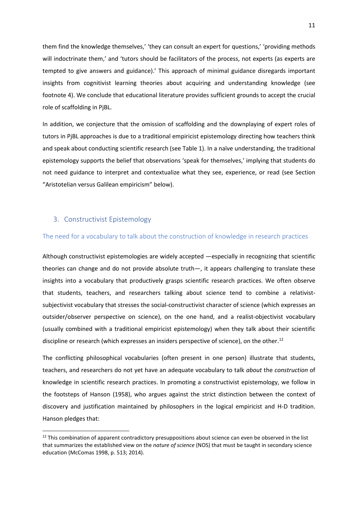them find the knowledge themselves,' 'they can consult an expert for questions,' 'providing methods will indoctrinate them,' and 'tutors should be facilitators of the process, not experts (as experts are tempted to give answers and guidance).' This approach of minimal guidance disregards important insights from cognitivist learning theories about acquiring and understanding knowledge (see footnote 4). We conclude that educational literature provides sufficient grounds to accept the crucial role of scaffolding in PjBL.

In addition, we conjecture that the omission of scaffolding and the downplaying of expert roles of tutors in PjBL approaches is due to a traditional empiricist epistemology directing how teachers think and speak about conducting scientific research (see Table 1). In a naïve understanding, the traditional epistemology supports the belief that observations 'speak for themselves,' implying that students do not need guidance to interpret and contextualize what they see, experience, or read (see Section "Aristotelian versus Galilean empiricism" below).

## 3. Constructivist Epistemology

#### The need for a vocabulary to talk about the construction of knowledge in research practices

Although constructivist epistemologies are widely accepted —especially in recognizing that scientific theories can change and do not provide absolute truth—, it appears challenging to translate these insights into a vocabulary that productively grasps scientific research practices. We often observe that students, teachers, and researchers talking about science tend to combine a relativistsubjectivist vocabulary that stresses the social-constructivist character of science (which expresses an outsider/observer perspective on science), on the one hand, and a realist-objectivist vocabulary (usually combined with a traditional empiricist epistemology) when they talk about their scientific discipline or research (which expresses an insiders perspective of science), on the other.<sup>12</sup>

The conflicting philosophical vocabularies (often present in one person) illustrate that students, teachers, and researchers do not yet have an adequate vocabulary to talk *about* the *construction* of knowledge in scientific research practices. In promoting a constructivist epistemology, we follow in the footsteps of Hanson (1958), who argues against the strict distinction between the context of discovery and justification maintained by philosophers in the logical empiricist and H-D tradition. Hanson pledges that:

<span id="page-10-0"></span><sup>&</sup>lt;sup>12</sup> This combination of apparent contradictory presuppositions about science can even be observed in the list that summarizes the established view on the *nature of science* (NOS) that must be taught in secondary science education (McComas 1998, p. 513; 2014).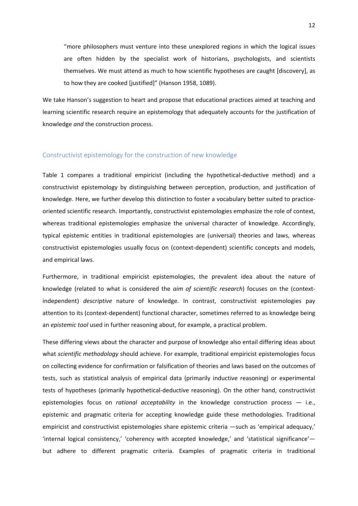"more philosophers must venture into these unexplored regions in which the logical issues are often hidden by the specialist work of historians, psychologists, and scientists themselves. We must attend as much to how scientific hypotheses are caught [discovery], as to how they are cooked [justified]" (Hanson 1958, 1089).

We take Hanson's suggestion to heart and propose that educational practices aimed at teaching and learning scientific research require an epistemology that adequately accounts for the justification of knowledge *and* the construction process.

## Constructivist epistemology for the construction of new knowledge

Table 1 compares a traditional empiricist (including the hypothetical-deductive method) and a constructivist epistemology by distinguishing between perception, production, and justification of knowledge. Here, we further develop this distinction to foster a vocabulary better suited to practiceoriented scientific research. Importantly, constructivist epistemologies emphasize the role of context, whereas traditional epistemologies emphasize the universal character of knowledge. Accordingly, typical epistemic entities in traditional epistemologies are (universal) theories and laws, whereas constructivist epistemologies usually focus on (context-dependent) scientific concepts and models, and empirical laws.

Furthermore, in traditional empiricist epistemologies, the prevalent idea about the nature of knowledge (related to what is considered the *aim of scientific research*) focuses on the (contextindependent) *descriptive* nature of knowledge. In contrast, constructivist epistemologies pay attention to its (context-dependent) functional character, sometimes referred to as knowledge being an *epistemic tool* used in further reasoning about, for example, a practical problem.

These differing views about the character and purpose of knowledge also entail differing ideas about what *scientific methodology* should achieve. For example, traditional empiricist epistemologies focus on collecting evidence for confirmation or falsification of theories and laws based on the outcomes of tests, such as statistical analysis of empirical data (primarily inductive reasoning) or experimental tests of hypotheses (primarily hypothetical-deductive reasoning). On the other hand, constructivist epistemologies focus on *rational acceptability* in the knowledge construction process — i.e., epistemic and pragmatic criteria for accepting knowledge guide these methodologies. Traditional empiricist and constructivist epistemologies share epistemic criteria —such as 'empirical adequacy,' 'internal logical consistency,' 'coherency with accepted knowledge,' and 'statistical significance' but adhere to different pragmatic criteria. Examples of pragmatic criteria in traditional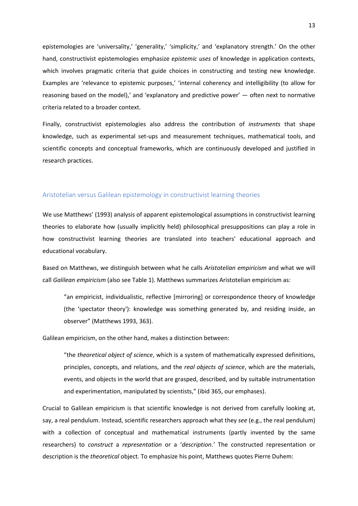epistemologies are 'universality,' 'generality,' 'simplicity,' and 'explanatory strength.' On the other hand, constructivist epistemologies emphasize *epistemic uses* of knowledge in application contexts, which involves pragmatic criteria that guide choices in constructing and testing new knowledge. Examples are 'relevance to epistemic purposes,' 'internal coherency and intelligibility (to allow for reasoning based on the model),' and 'explanatory and predictive power' — often next to normative criteria related to a broader context.

Finally, constructivist epistemologies also address the contribution of *instruments* that shape knowledge, such as experimental set-ups and measurement techniques, mathematical tools, and scientific concepts and conceptual frameworks, which are continuously developed and justified in research practices.

#### Aristotelian versus Galilean epistemology in constructivist learning theories

We use Matthews' (1993) analysis of apparent epistemological assumptions in constructivist learning theories to elaborate how (usually implicitly held) philosophical presuppositions can play a role in how constructivist learning theories are translated into teachers' educational approach and educational vocabulary.

Based on Matthews, we distinguish between what he calls *Aristotelian empiricism* and what we will call *Galilean empiricism* (also see Table 1). Matthews summarizes Aristotelian empiricism as:

"an empiricist, individualistic, reflective [mirroring] or correspondence theory of knowledge (the 'spectator theory'): knowledge was something generated by, and residing inside, an observer" (Matthews 1993, 363).

Galilean empiricism, on the other hand, makes a distinction between:

"the *theoretical object of science*, which is a system of mathematically expressed definitions, principles, concepts, and relations, and the *real objects of science*, which are the materials, events, and objects in the world that are grasped, described, and by suitable instrumentation and experimentation, manipulated by scientists," (ibid 365, our emphases).

Crucial to Galilean empiricism is that scientific knowledge is not derived from carefully looking at, say, a real pendulum. Instead, scientific researchers approach what they *see* (e.g., the real pendulum) with a collection of conceptual and mathematical instruments (partly invented by the same researchers) to *construct* a *representation* or a '*description*.*'* The constructed representation or description is the *theoretical* object. To emphasize his point, Matthews quotes Pierre Duhem: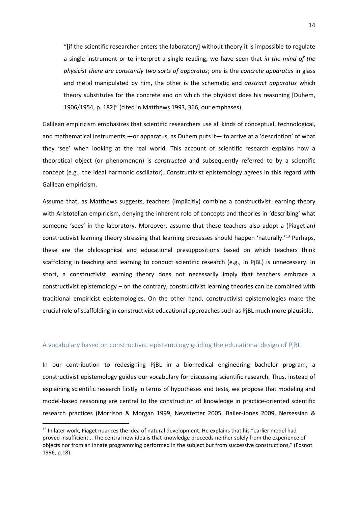"[if the scientific researcher enters the laboratory] without theory it is impossible to regulate a single instrument or to interpret a single reading; we have seen that *in the mind of the physicist there are constantly two sorts of apparatus*; one is the *concrete apparatus* in glass and metal manipulated by him, the other is the schematic and *abstract apparatus* which theory substitutes for the concrete and on which the physicist does his reasoning [Duhem, 1906/1954, p. 182]" (cited in Matthews 1993, 366, our emphases).

Galilean empiricism emphasizes that scientific researchers use all kinds of conceptual, technological, and mathematical instruments —or apparatus, as Duhem puts it— to arrive at a 'description' of what they 'see' when looking at the real world. This account of scientific research explains how a theoretical object (or phenomenon) is *constructed* and subsequently referred to by a scientific concept (e.g., the ideal harmonic oscillator). Constructivist epistemology agrees in this regard with Galilean empiricism.

Assume that, as Matthews suggests, teachers (implicitly) combine a constructivist learning theory with Aristotelian empiricism, denying the inherent role of concepts and theories in 'describing' what someone 'sees' in the laboratory. Moreover, assume that these teachers also adopt a (Piagetian) constructivist learning theory stressing that learning processes should happen 'naturally.'[13](#page-13-0) Perhaps, these are the philosophical and educational presuppositions based on which teachers think scaffolding in teaching and learning to conduct scientific research (e.g., in PjBL) is unnecessary. In short, a constructivist learning theory does not necessarily imply that teachers embrace a constructivist epistemology – on the contrary, constructivist learning theories can be combined with traditional empiricist epistemologies. On the other hand, constructivist epistemologies make the crucial role of scaffolding in constructivist educational approaches such as PjBL much more plausible.

### A vocabulary based on constructivist epistemology guiding the educational design of PjBL

In our contribution to redesigning PjBL in a biomedical engineering bachelor program, a constructivist epistemology guides our vocabulary for discussing scientific research. Thus, instead of explaining scientific research firstly in terms of hypotheses and tests, we propose that modeling and model-based reasoning are central to the construction of knowledge in practice-oriented scientific research practices (Morrison & Morgan 1999, Newstetter 2005, Bailer-Jones 2009, Nersessian &

<span id="page-13-0"></span><sup>&</sup>lt;sup>13</sup> In later work, Piaget nuances the idea of natural development. He explains that his "earlier model had proved insufficient... The central new idea is that knowledge proceeds neither solely from the experience of objects nor from an innate programming performed in the subject but from successive constructions," (Fosnot 1996, p.18).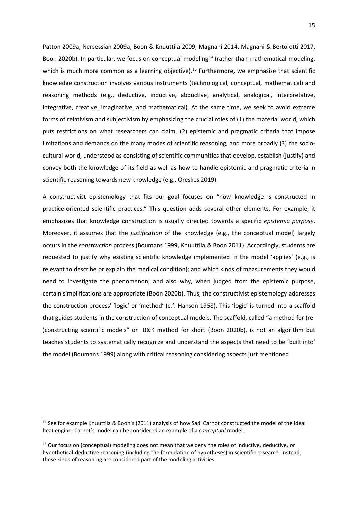Patton 2009a, Nersessian 2009a, Boon & Knuuttila 2009, Magnani 2014, Magnani & Bertolotti 2017, Boon 2020b). In particular, we focus on conceptual modeling<sup>[14](#page-14-0)</sup> (rather than mathematical modeling, which is much more common as a learning objective).<sup>[15](#page-14-1)</sup> Furthermore, we emphasize that scientific knowledge construction involves various instruments (technological, conceptual, mathematical) and reasoning methods (e.g., deductive, inductive, abductive, analytical, analogical, interpretative, integrative, creative, imaginative, and mathematical). At the same time, we seek to avoid extreme forms of relativism and subjectivism by emphasizing the crucial roles of (1) the material world, which puts restrictions on what researchers can claim, (2) epistemic and pragmatic criteria that impose limitations and demands on the many modes of scientific reasoning, and more broadly (3) the sociocultural world, understood as consisting of scientific communities that develop, establish (justify) and convey both the knowledge of its field as well as how to handle epistemic and pragmatic criteria in scientific reasoning towards new knowledge (e.g., Oreskes 2019).

A constructivist epistemology that fits our goal focuses on "how knowledge is constructed in practice-oriented scientific practices." This question adds several other elements. For example, it emphasizes that knowledge construction is usually directed towards a specific *epistemic purpose*. Moreover, it assumes that the *justification* of the knowledge (e.g., the conceptual model) largely occurs in the *construction* process (Boumans 1999, Knuuttila & Boon 2011). Accordingly, students are requested to justify why existing scientific knowledge implemented in the model 'applies' (e.g., is relevant to describe or explain the medical condition); and which kinds of measurements they would need to investigate the phenomenon; and also why, when judged from the epistemic purpose, certain simplifications are appropriate (Boon 2020b). Thus, the constructivist epistemology addresses the construction process' 'logic' or 'method' (c.f. Hanson 1958). This 'logic' is turned into a scaffold that guides students in the construction of conceptual models. The scaffold, called "a method for (re- )constructing scientific models" or B&K method for short (Boon 2020b), is not an algorithm but teaches students to systematically recognize and understand the aspects that need to be 'built into' the model (Boumans 1999) along with critical reasoning considering aspects just mentioned.

<span id="page-14-0"></span><sup>&</sup>lt;sup>14</sup> See for example Knuuttila & Boon's (2011) analysis of how Sadi Carnot constructed the model of the ideal heat engine. Carnot's model can be considered an example of a *conceptual* model.

<span id="page-14-1"></span> $15$  Our focus on (conceptual) modeling does not mean that we deny the roles of inductive, deductive, or hypothetical-deductive reasoning (including the formulation of hypotheses) in scientific research. Instead, these kinds of reasoning are considered part of the modeling activities.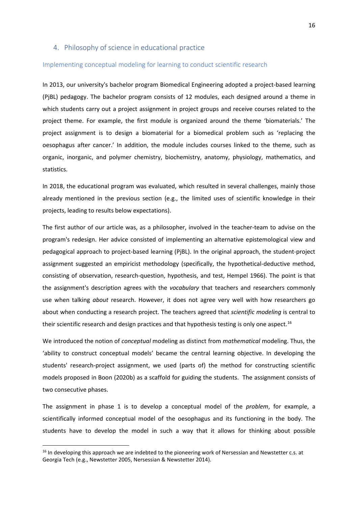## 4. Philosophy of science in educational practice

#### Implementing conceptual modeling for learning to conduct scientific research

In 2013, our university's bachelor program Biomedical Engineering adopted a project-based learning (PjBL) pedagogy. The bachelor program consists of 12 modules, each designed around a theme in which students carry out a project assignment in project groups and receive courses related to the project theme. For example, the first module is organized around the theme 'biomaterials.' The project assignment is to design a biomaterial for a biomedical problem such as 'replacing the oesophagus after cancer.' In addition, the module includes courses linked to the theme, such as organic, inorganic, and polymer chemistry, biochemistry, anatomy, physiology, mathematics, and statistics.

In 2018, the educational program was evaluated, which resulted in several challenges, mainly those already mentioned in the previous section (e.g., the limited uses of scientific knowledge in their projects, leading to results below expectations).

The first author of our article was, as a philosopher, involved in the teacher-team to advise on the program's redesign. Her advice consisted of implementing an alternative epistemological view and pedagogical approach to project-based learning (PjBL). In the original approach, the student-project assignment suggested an empiricist methodology (specifically, the hypothetical-deductive method, consisting of observation, research-question, hypothesis, and test, Hempel 1966). The point is that the assignment's description agrees with the *vocabulary* that teachers and researchers commonly use when talking *about* research. However, it does not agree very well with how researchers go about when conducting a research project. The teachers agreed that *scientific modeling* is central to their scientific research and design practices and that hypothesis testing is only one aspect.<sup>[16](#page-15-0)</sup>

We introduced the notion of *conceptual* modeling as distinct from *mathematical* modeling. Thus, the 'ability to construct conceptual models' became the central learning objective. In developing the students' research-project assignment, we used (parts of) the method for constructing scientific models proposed in Boon (2020b) as a scaffold for guiding the students. The assignment consists of two consecutive phases.

The assignment in phase 1 is to develop a conceptual model of the *problem*, for example, a scientifically informed conceptual model of the oesophagus and its functioning in the body. The students have to develop the model in such a way that it allows for thinking about possible

<span id="page-15-0"></span><sup>&</sup>lt;sup>16</sup> In developing this approach we are indebted to the pioneering work of Nersessian and Newstetter c.s. at Georgia Tech (e.g., Newstetter 2005, Nersessian & Newstetter 2014).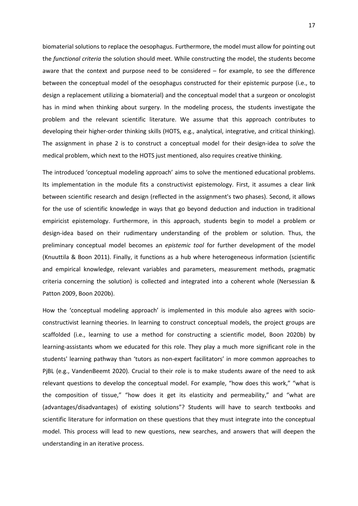biomaterial solutions to replace the oesophagus. Furthermore, the model must allow for pointing out the *functional criteria* the solution should meet. While constructing the model, the students become aware that the context and purpose need to be considered – for example, to see the difference between the conceptual model of the oesophagus constructed for their epistemic purpose (i.e., to design a replacement utilizing a biomaterial) and the conceptual model that a surgeon or oncologist has in mind when thinking about surgery. In the modeling process, the students investigate the problem and the relevant scientific literature. We assume that this approach contributes to developing their higher-order thinking skills (HOTS, e.g., analytical, integrative, and critical thinking). The assignment in phase 2 is to construct a conceptual model for their design-idea to *solve* the medical problem, which next to the HOTS just mentioned, also requires creative thinking.

The introduced 'conceptual modeling approach' aims to solve the mentioned educational problems. Its implementation in the module fits a constructivist epistemology. First, it assumes a clear link between scientific research and design (reflected in the assignment's two phases). Second, it allows for the use of scientific knowledge in ways that go beyond deduction and induction in traditional empiricist epistemology. Furthermore, in this approach, students begin to model a problem or design-idea based on their rudimentary understanding of the problem or solution. Thus, the preliminary conceptual model becomes an *epistemic tool* for further development of the model (Knuuttila & Boon 2011). Finally, it functions as a hub where heterogeneous information (scientific and empirical knowledge, relevant variables and parameters, measurement methods, pragmatic criteria concerning the solution) is collected and integrated into a coherent whole (Nersessian & Patton 2009, Boon 2020b).

How the 'conceptual modeling approach' is implemented in this module also agrees with socioconstructivist learning theories. In learning to construct conceptual models, the project groups are scaffolded (i.e., learning to use a method for constructing a scientific model, Boon 2020b) by learning-assistants whom we educated for this role. They play a much more significant role in the students' learning pathway than 'tutors as non-expert facilitators' in more common approaches to PjBL (e.g., VandenBeemt 2020). Crucial to their role is to make students aware of the need to ask relevant questions to develop the conceptual model. For example, "how does this work," "what is the composition of tissue," "how does it get its elasticity and permeability," and "what are (advantages/disadvantages) of existing solutions"? Students will have to search textbooks and scientific literature for information on these questions that they must integrate into the conceptual model. This process will lead to new questions, new searches, and answers that will deepen the understanding in an iterative process.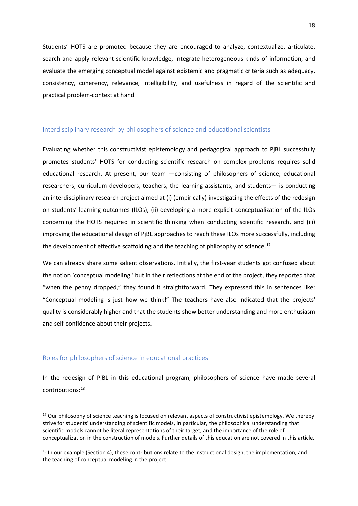Students' HOTS are promoted because they are encouraged to analyze, contextualize, articulate, search and apply relevant scientific knowledge, integrate heterogeneous kinds of information, and evaluate the emerging conceptual model against epistemic and pragmatic criteria such as adequacy, consistency, coherency, relevance, intelligibility, and usefulness in regard of the scientific and practical problem-context at hand.

#### Interdisciplinary research by philosophers of science and educational scientists

Evaluating whether this constructivist epistemology and pedagogical approach to PjBL successfully promotes students' HOTS for conducting scientific research on complex problems requires solid educational research. At present, our team —consisting of philosophers of science, educational researchers, curriculum developers, teachers, the learning-assistants, and students— is conducting an interdisciplinary research project aimed at (i) (empirically) investigating the effects of the redesign on students' learning outcomes (ILOs), (ii) developing a more explicit conceptualization of the ILOs concerning the HOTS required in scientific thinking when conducting scientific research, and (iii) improving the educational design of PjBL approaches to reach these ILOs more successfully, including the development of effective scaffolding and the teaching of philosophy of science.<sup>[17](#page-17-0)</sup>

We can already share some salient observations. Initially, the first-year students got confused about the notion 'conceptual modeling,' but in their reflections at the end of the project, they reported that "when the penny dropped," they found it straightforward. They expressed this in sentences like: "Conceptual modeling is just how we think!" The teachers have also indicated that the projects' quality is considerably higher and that the students show better understanding and more enthusiasm and self-confidence about their projects.

## Roles for philosophers of science in educational practices

In the redesign of PjBL in this educational program, philosophers of science have made several contributions:[18](#page-17-1)

<span id="page-17-0"></span><sup>&</sup>lt;sup>17</sup> Our philosophy of science teaching is focused on relevant aspects of constructivist epistemology. We thereby strive for students' understanding of scientific models, in particular, the philosophical understanding that scientific models cannot be literal representations of their target, and the importance of the role of conceptualization in the construction of models. Further details of this education are not covered in this article.

<span id="page-17-1"></span><sup>&</sup>lt;sup>18</sup> In our example (Section 4), these contributions relate to the instructional design, the implementation, and the teaching of conceptual modeling in the project.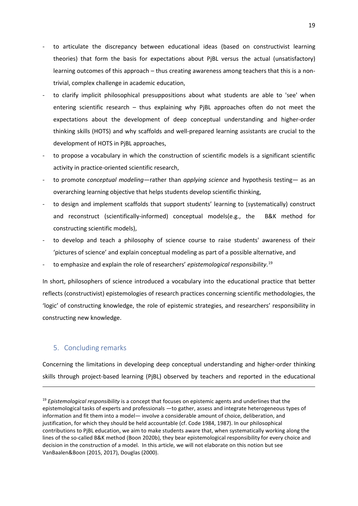- to articulate the discrepancy between educational ideas (based on constructivist learning theories) that form the basis for expectations about PjBL versus the actual (unsatisfactory) learning outcomes of this approach – thus creating awareness among teachers that this is a nontrivial, complex challenge in academic education,
- to clarify implicit philosophical presuppositions about what students are able to 'see' when entering scientific research – thus explaining why PjBL approaches often do not meet the expectations about the development of deep conceptual understanding and higher-order thinking skills (HOTS) and why scaffolds and well-prepared learning assistants are crucial to the development of HOTS in PjBL approaches,
- to propose a vocabulary in which the construction of scientific models is a significant scientific activity in practice-oriented scientific research,
- to promote *conceptual modeling*—rather than *applying science* and hypothesis testing— as an overarching learning objective that helps students develop scientific thinking,
- to design and implement scaffolds that support students' learning to (systematically) construct and reconstruct (scientifically-informed) conceptual models(e.g., the B&K method for constructing scientific models),
- to develop and teach a philosophy of science course to raise students' awareness of their 'pictures of science' and explain conceptual modeling as part of a possible alternative, and
- to emphasize and explain the role of researchers' *epistemological responsibility*. [19](#page-18-0)

In short, philosophers of science introduced a vocabulary into the educational practice that better reflects (constructivist) epistemologies of research practices concerning scientific methodologies, the 'logic' of constructing knowledge, the role of epistemic strategies, and researchers' responsibility in constructing new knowledge.

## 5. Concluding remarks

Concerning the limitations in developing deep conceptual understanding and higher-order thinking skills through project-based learning (PjBL) observed by teachers and reported in the educational

<span id="page-18-0"></span><sup>19</sup> *Epistemological responsibility* is a concept that focuses on epistemic agents and underlines that the epistemological tasks of experts and professionals —to gather, assess and integrate heterogeneous types of information and fit them into a model— involve a considerable amount of choice, deliberation, and justification, for which they should be held accountable (cf. Code 1984, 1987). In our philosophical contributions to PjBL education, we aim to make students aware that, when systematically working along the lines of the so-called B&K method (Boon 2020b), they bear epistemological responsibility for every choice and decision in the construction of a model. In this article, we will not elaborate on this notion but see VanBaalen&Boon (2015, 2017), Douglas (2000).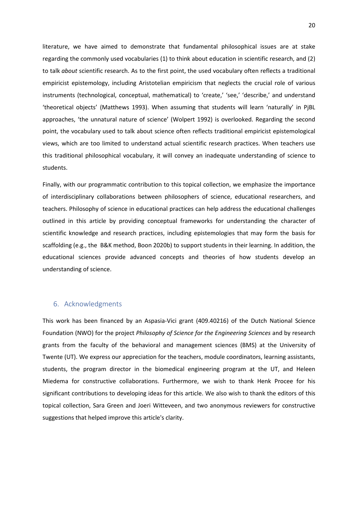literature, we have aimed to demonstrate that fundamental philosophical issues are at stake regarding the commonly used vocabularies (1) to think about education in scientific research, and (2) to talk *about* scientific research. As to the first point, the used vocabulary often reflects a traditional empiricist epistemology, including Aristotelian empiricism that neglects the crucial role of various instruments (technological, conceptual, mathematical) to 'create,' 'see,' 'describe,' and understand 'theoretical objects' (Matthews 1993). When assuming that students will learn 'naturally' in PjBL approaches, 'the unnatural nature of science' (Wolpert 1992) is overlooked. Regarding the second point, the vocabulary used to talk about science often reflects traditional empiricist epistemological views, which are too limited to understand actual scientific research practices. When teachers use this traditional philosophical vocabulary, it will convey an inadequate understanding of science to students.

Finally, with our programmatic contribution to this topical collection, we emphasize the importance of interdisciplinary collaborations between philosophers of science, educational researchers, and teachers. Philosophy of science in educational practices can help address the educational challenges outlined in this article by providing conceptual frameworks for understanding the character of scientific knowledge and research practices, including epistemologies that may form the basis for scaffolding (e.g., the B&K method, Boon 2020b) to support students in their learning. In addition, the educational sciences provide advanced concepts and theories of how students develop an understanding of science.

# 6. Acknowledgments

This work has been financed by an Aspasia-Vici grant (409.40216) of the Dutch National Science Foundation (NWO) for the project *Philosophy of Science for the Engineering Sciences* and by research grants from the faculty of the behavioral and management sciences (BMS) at the University of Twente (UT). We express our appreciation for the teachers, module coordinators, learning assistants, students, the program director in the biomedical engineering program at the UT, and Heleen Miedema for constructive collaborations. Furthermore, we wish to thank Henk Procee for his significant contributions to developing ideas for this article. We also wish to thank the editors of this topical collection, Sara Green and Joeri Witteveen, and two anonymous reviewers for constructive suggestions that helped improve this article's clarity.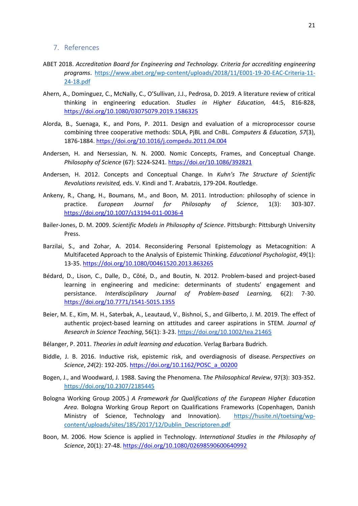#### 7. References

- ABET 2018. *Accreditation Board for Engineering and Technology. Criteria for accrediting engineering programs*. [https://www.abet.org/wp-content/uploads/2018/11/E001-19-20-EAC-Criteria-11-](https://www.abet.org/wp-content/uploads/2018/11/E001-19-20-EAC-Criteria-11-24-18.pdf) [24-18.pdf](https://www.abet.org/wp-content/uploads/2018/11/E001-19-20-EAC-Criteria-11-24-18.pdf)
- Ahern, A., Dominguez, C., McNally, C., O'Sullivan, J.J., Pedrosa, D. 2019. A literature review of critical thinking in engineering education. *Studies in Higher Education*, 44:5, 816-828, <https://doi.org/10.1080/03075079.2019.1586325>
- Alorda, B., Suenaga, K., and Pons, P. 2011. Design and evaluation of a microprocessor course combining three cooperative methods: SDLA, PjBL and CnBL. *Computers & Education, 57*(3), 1876-1884.<https://doi.org/10.1016/j.compedu.2011.04.004>
- Andersen, H. and Nersessian, N. N. 2000. Nomic Concepts, Frames, and Conceptual Change. *Philosophy of Science* (67): S224-S241.<https://doi.or/10.1086/392821>
- Andersen, H. 2012. Concepts and Conceptual Change. In *Kuhn's The Structure of Scientific Revolutions revisited,* eds. V. Kindi and T. Arabatzis, 179-204. Routledge.
- Ankeny, R., Chang, H., Boumans, M., and Boon, M. 2011. Introduction: philosophy of science in practice. *European Journal for Philosophy of Science*, 1(3): 303-307. <https://doi.org/10.1007/s13194-011-0036-4>
- Bailer-Jones, D. M. 2009. *Scientific Models in Philosophy of Science*. Pittsburgh: Pittsburgh University Press.
- Barzilai, S., and Zohar, A. 2014. Reconsidering Personal Epistemology as Metacognition: A Multifaceted Approach to the Analysis of Epistemic Thinking. *Educational Psychologist*, 49(1): 13-35. <https://doi.org/10.1080/00461520.2013.863265>
- Bédard, D., Lison, C., Dalle, D., Côté, D., and Boutin, N. 2012. Problem-based and project-based learning in engineering and medicine: determinants of students' engagement and persistance. *Interdisciplinary Journal of Problem-based Learning,* 6(2): 7-30. <https://doi.org/10.7771/1541-5015.1355>
- Beier, M. E., Kim, M. H., Saterbak, A., Leautaud, V., Bishnoi, S., and Gilberto, J. M. 2019. The effect of authentic project-based learning on attitudes and career aspirations in STEM. *Journal of Research in Science Teaching*, 56(1): 3-23[. https://doi.org/10.1002/tea.21465](https://doi.org/10.1002/tea.21465)
- Bélanger, P. 2011. *Theories in adult learning and education*. Verlag Barbara Budrich.
- Biddle, J. B. 2016. Inductive risk, epistemic risk, and overdiagnosis of disease. *Perspectives on Science*, *24*(2): 192-205. [https://doi.org/10.1162/POSC\\_a\\_00200](https://doi.org/10.1162/POSC_a_00200)
- Bogen, J., and Woodward, J. 1988. Saving the Phenomena. T*he Philosophical Review*, 97(3): 303-352. <https://doi.org/10.2307/2185445>
- Bologna Working Group 2005.) *A Framework for Qualifications of the European Higher Education Area*. Bologna Working Group Report on Qualifications Frameworks (Copenhagen, Danish Ministry of Science, Technology and Innovation). [https://husite.nl/toetsing/wp](https://husite.nl/toetsing/wp-content/uploads/sites/185/2017/12/Dublin_Descriptoren.pdf)[content/uploads/sites/185/2017/12/Dublin\\_Descriptoren.pdf](https://husite.nl/toetsing/wp-content/uploads/sites/185/2017/12/Dublin_Descriptoren.pdf)
- Boon, M. 2006. How Science is applied in Technology. *International Studies in the Philosophy of Science*, 20(1): 27-48[. https://doi.org/10.1080/02698590600640992](https://doi.org/10.1080/02698590600640992)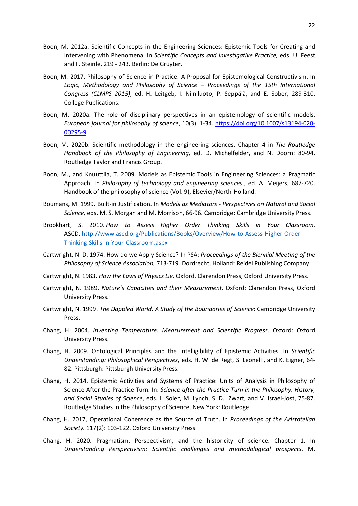- Boon, M. 2012a. Scientific Concepts in the Engineering Sciences: Epistemic Tools for Creating and Intervening with Phenomena. In *Scientific Concepts and Investigative Practice,* eds. U. Feest and F. Steinle, 219 - 243. Berlin: De Gruyter.
- Boon, M. 2017. Philosophy of Science in Practice: A Proposal for Epistemological Constructivism. In *Logic, Methodology and Philosophy of Science – Proceedings of the 15th International Congress (CLMPS 2015)*, ed. H. Leitgeb, I. Niiniluoto, P. Seppälä, and E. Sober, 289-310. College Publications.
- Boon, M. 2020a. The role of disciplinary perspectives in an epistemology of scientific models. *European journal for philosophy of science*, 10(3): 1-34. [https://doi.org/10.1007/s13194-020-](https://doi.org/10.1007/s13194-020-00295-9) [00295-9](https://doi.org/10.1007/s13194-020-00295-9)
- Boon, M. 2020b. Scientific methodology in the engineering sciences. Chapter 4 in *The Routledge Handbook of the Philosophy of Engineering,* ed. D. Michelfelder, and N. Doorn: 80-94. Routledge Taylor and Francis Group.
- Boon, M., and Knuuttila, T. 2009. Models as Epistemic Tools in Engineering Sciences: a Pragmatic Approach. In *Philosophy of technology and engineering sciences.*, ed. A. Meijers, 687-720. Handbook of the philosophy of science (Vol. 9), Elsevier/North-Holland.
- Boumans, M. 1999. Built-in Justification. In *Models as Mediators - Perspectives on Natural and Social Science,* eds. M. S. Morgan and M. Morrison, 66-96. Cambridge: Cambridge University Press.
- Brookhart, S. 2010. *How to Assess Higher Order Thinking Skills in Your Classroom*, ASCD, [http://www.ascd.org/Publications/Books/Overview/How-to-Assess-Higher-Order-](http://www.ascd.org/Publications/Books/Overview/How-to-Assess-Higher-Order-Thinking-Skills-in-Your-Classroom.aspx)[Thinking-Skills-in-Your-Classroom.aspx](http://www.ascd.org/Publications/Books/Overview/How-to-Assess-Higher-Order-Thinking-Skills-in-Your-Classroom.aspx)
- Cartwright, N. D. 1974. How do we Apply Science? In PSA: *Proceedings of the Biennial Meeting of the Philosophy of Science Association,* 713-719. Dordrecht, Holland: Reidel Publishing Company
- Cartwright, N. 1983. *How the Laws of Physics Lie*. Oxford, Clarendon Press, Oxford University Press.
- Cartwright, N. 1989. *Nature's Capacities and their Measurement*. Oxford: Clarendon Press, Oxford University Press.
- Cartwright, N. 1999. *The Dappled World. A Study of the Boundaries of Science*: Cambridge University Press.
- Chang, H. 2004. *Inventing Temperature: Measurement and Scientific Progress*. Oxford: Oxford University Press.
- Chang, H. 2009. Ontological Principles and the Intelligibility of Epistemic Activities. In *Scientific Understanding: Philosophical Perspectives*, eds. H. W. de Regt, S. Leonelli, and K. Eigner, 64- 82. Pittsburgh: Pittsburgh University Press.
- Chang, H. 2014. Epistemic Activities and Systems of Practice: Units of Analysis in Philosophy of Science After the Practice Turn. In: *Science after the Practice Turn in the Philosophy, History, and Social Studies of Science*, eds. L. Soler, M. Lynch, S. D. Zwart, and V. Israel-Jost, 75-87. Routledge Studies in the Philosophy of Science, New York: Routledge.
- Chang, H. 2017, Operational Coherence as the Source of Truth. In *Proceedings of the Aristotelian Society.* 117(2): 103-122. Oxford University Press.
- Chang, H. 2020. Pragmatism, Perspectivism, and the historicity of science. Chapter 1. In *Understanding Perspectivism: Scientific challenges and methodological prospects*, M.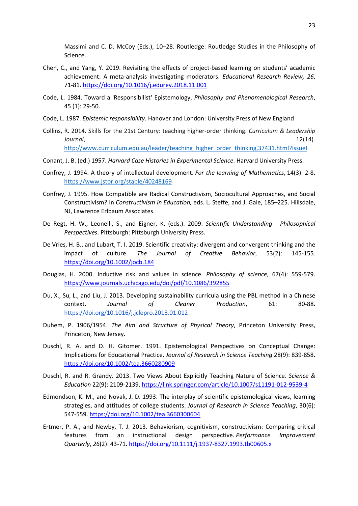Massimi and C. D. McCoy (Eds.), 10–28. Routledge: Routledge Studies in the Philosophy of Science.

- Chen, C., and Yang, Y. 2019. Revisiting the effects of project-based learning on students' academic achievement: A meta-analysis investigating moderators. *Educational Research Review, 26*, 71-81.<https://doi.org/10.1016/j.edurev.2018.11.001>
- Code, L. 1984. Toward a 'Responsibilist' Epistemology, *Philosophy and Phenomenological Research*, 45 (1): 29-50.
- Code, L. 1987. *Epistemic responsibility.* Hanover and London: University Press of New England
- Collins, R. 2014. Skills for the 21st Century: teaching higher-order thinking. *Curriculum & Leadership Journal*, 12(14). [http://www.curriculum.edu.au/leader/teaching\\_higher\\_order\\_thinking,37431.html?issueI](http://www.curriculum.edu.au/leader/teaching_higher_order_thinking,37431.html?issueI)
- Conant, J. B. (ed.) 1957. *Harvard Case Histories in Experimental Science*. Harvard University Press.
- Confrey, J. 1994. A theory of intellectual development. *For the learning of Mathematics*, 14(3): 2-8. <https://www.jstor.org/stable/40248169>
- Confrey, J. 1995. How Compatible are Radical Constructivism, Sociocultural Approaches, and Social Constructivism? In *Constructivism in Education,* eds. L. Steffe, and J. Gale, 185–225. Hillsdale, NJ, Lawrence Erlbaum Associates.
- De Regt, H. W., Leonelli, S., and Eigner, K. (eds.). 2009. *Scientific Understanding - Philosophical Perspectives*. Pittsburgh: Pittsburgh University Press.
- De Vries, H. B., and Lubart, T. I. 2019. Scientific creativity: divergent and convergent thinking and the impact of culture. *The Journal of Creative Behavior*, 53(2): 145-155. <https://doi.org/10.1002/jocb.184>
- Douglas, H. 2000. Inductive risk and values in science. *Philosophy of science*, 67(4): 559-579. <https://www.journals.uchicago.edu/doi/pdf/10.1086/392855>
- Du, X., Su, L., and Liu, J. 2013. Developing sustainability curricula using the PBL method in a Chinese context. *Journal of Cleaner Production*, 61: 80-88. <https://doi.org/10.1016/j.jclepro.2013.01.012>
- Duhem, P. 1906/1954. *The Aim and Structure of Physical Theory*, Princeton University Press, Princeton, New Jersey.
- Duschl, R. A. and D. H. Gitomer. 1991. Epistemological Perspectives on Conceptual Change: Implications for Educational Practice. *Journal of Research in Science Teaching* 28(9): 839-858. <https://doi.org/10.1002/tea.3660280909>
- Duschl, R. and R. Grandy. 2013. Two Views About Explicitly Teaching Nature of Science. *Science & Education* 22(9): 2109-2139. <https://link.springer.com/article/10.1007/s11191-012-9539-4>
- Edmondson, K. M., and Novak, J. D. 1993. The interplay of scientific epistemological views, learning strategies, and attitudes of college students. *Journal of Research in Science Teaching*, 30(6): 547-559.<https://doi.org/10.1002/tea.3660300604>
- Ertmer, P. A., and Newby, T. J. 2013. Behaviorism, cognitivism, constructivism: Comparing critical features from an instructional design perspective. *Performance Improvement Quarterly*, *26*(2): 43-71. <https://doi.org/10.1111/j.1937-8327.1993.tb00605.x>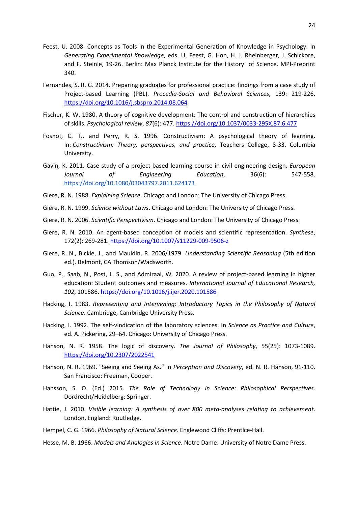- Feest, U. 2008. Concepts as Tools in the Experimental Generation of Knowledge in Psychology. In *Generating Experimental Knowledge*, eds. U. Feest, G. Hon, H. J. Rheinberger, J. Schickore, and F. Steinle, 19-26. Berlin: Max Planck Institute for the History of Science. MPI-Preprint 340.
- Fernandes, S. R. G. 2014. Preparing graduates for professional practice: findings from a case study of Project-based Learning (PBL). *Procedia-Social and Behavioral Sciences*, 139: 219-226. <https://doi.org/10.1016/j.sbspro.2014.08.064>
- Fischer, K. W. 1980. A theory of cognitive development: The control and construction of hierarchies of skills. *Psychological review*, *87*(6): 477. <https://doi.org/10.1037/0033-295X.87.6.477>
- Fosnot, C. T., and Perry, R. S. 1996. Constructivism: A psychological theory of learning. In: *Constructivism: Theory, perspectives, and practice*, Teachers College, 8-33. Columbia University.
- Gavin, K. 2011. Case study of a project-based learning course in civil engineering design. *European Journal of Engineering Education*, 36(6): 547-558. <https://doi.org/10.1080/03043797.2011.624173>
- Giere, R. N. 1988. *Explaining Science*. Chicago and London: The University of Chicago Press.
- Giere, R. N. 1999. *Science without Laws*. Chicago and London: The University of Chicago Press.
- Giere, R. N. 2006. *Scientific Perspectivism*. Chicago and London: The University of Chicago Press.
- Giere, R. N. 2010. An agent-based conception of models and scientific representation. *Synthese*, 172(2): 269-281.<https://doi.org/10.1007/s11229-009-9506-z>
- Giere, R. N., Bickle, J., and Mauldin, R. 2006/1979. *Understanding Scientific Reasoning* (5th edition ed.). Belmont, CA Thomson/Wadsworth.
- Guo, P., Saab, N., Post, L. S., and Admiraal, W. 2020. A review of project-based learning in higher education: Student outcomes and measures. *International Journal of Educational Research, 102*, 101586[. https://doi.org/10.1016/j.ijer.2020.101586](https://doi.org/10.1016/j.ijer.2020.101586)
- Hacking, I. 1983. *Representing and Intervening: Introductory Topics in the Philosophy of Natural Science*. Cambridge, Cambridge University Press.
- Hacking, I. 1992. The self-vindication of the laboratory sciences. In *Science as Practice and Culture*, ed. A. Pickering, 29–64. Chicago: University of Chicago Press.
- Hanson, N. R. 1958. The logic of discovery. *The Journal of Philosophy*, 55(25): 1073-1089. <https://doi.org/10.2307/2022541>
- Hanson, N. R. 1969. "Seeing and Seeing As." In *Perception and Discovery*, ed. N. R. Hanson, 91-110. San Francisco: Freeman, Cooper.
- Hansson, S. O. (Ed.) 2015. *The Role of Technology in Science: Philosophical Perspectives*. Dordrecht/Heidelberg: Springer.
- Hattie, J. 2010. *Visible learning: A synthesis of over 800 meta-analyses relating to achievement*. London, England: Routledge.
- Hempel, C. G. 1966. *Philosophy of Natural Science*. Englewood Cliffs: Prentlce-Hall.
- Hesse, M. B. 1966. *Models and Analogies in Science*. Notre Dame: University of Notre Dame Press.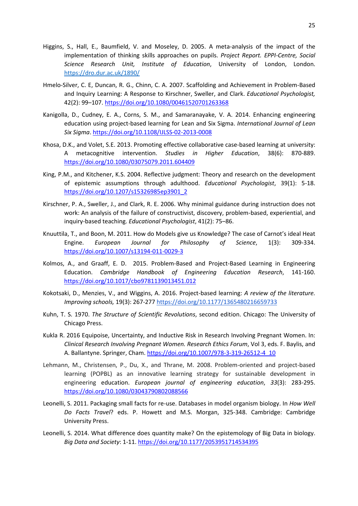- Higgins, S., Hall, E., Baumfield, V. and Moseley, D. 2005. A meta-analysis of the impact of the implementation of thinking skills approaches on pupils. *Project Report. EPPI-Centre, Social Science Research Unit, Institute of Education*, University of London, London. <https://dro.dur.ac.uk/1890/>
- Hmelo-Silver, C. E, Duncan, R. G., Chinn, C. A. 2007. Scaffolding and Achievement in Problem-Based and Inquiry Learning: A Response to Kirschner, Sweller, and Clark. *Educational Psychologist,* 42(2): 99–107.<https://doi.org/10.1080/00461520701263368>
- Kanigolla, D., Cudney, E. A., Corns, S. M., and Samaranayake, V. A. 2014. Enhancing engineering education using project-based learning for Lean and Six Sigma. *International Journal of Lean Six Sigma*.<https://doi.org/10.1108/IJLSS-02-2013-0008>
- Khosa, D.K., and Volet, S.E. 2013. Promoting effective collaborative case-based learning at university: A metacognitive intervention. *Studies in Higher Education*, 38(6): 870-889. <https://doi.org/10.1080/03075079.2011.604409>
- King, P.M., and Kitchener, K.S. 2004. Reflective judgment: Theory and research on the development of epistemic assumptions through adulthood. *Educational Psychologist*, 39(1): 5-18. [https://doi.org/10.1207/s15326985ep3901\\_2](https://doi.org/10.1207/s15326985ep3901_2)
- Kirschner, P. A., Sweller, J., and Clark, R. E. 2006. Why minimal guidance during instruction does not work: An analysis of the failure of constructivist, discovery, problem-based, experiential, and inquiry-based teaching. *Educational Psychologist*, 41(2): 75–86.
- Knuuttila, T., and Boon, M. 2011. How do Models give us Knowledge? The case of Carnot's ideal Heat Engine. *European Journal for Philosophy of Science*, 1(3): 309-334. <https://doi.org/10.1007/s13194-011-0029-3>
- Kolmos, A., and Graaff, E. D. 2015. Problem-Based and Project-Based Learning in Engineering Education. *Cambridge Handbook of Engineering Education Research*, 141-160. <https://doi.org/10.1017/cbo9781139013451.012>
- Kokotsaki, D., Menzies, V., and Wiggins, A. 2016. Project-based learning: *A review of the literature. Improving schools,* 19(3): 267-27[7 https://doi.org/10.1177/1365480216659733](https://doi.org/10.1177%2F1365480216659733)
- Kuhn, T. S. 1970. *The Structure of Scientific Revolutions*, second edition. Chicago: The University of Chicago Press.
- Kukla R. 2016 Equipoise, Uncertainty, and Inductive Risk in Research Involving Pregnant Women. In: *Clinical Research Involving Pregnant Women. Research Ethics Forum*, Vol 3, eds. F. Baylis, and A. Ballantyne. Springer, Cham[. https://doi.org/10.1007/978-3-319-26512-4\\_10](https://doi.org/10.1007/978-3-319-26512-4_10)
- Lehmann, M., Christensen, P., Du, X., and Thrane, M. 2008. Problem-oriented and project-based learning (POPBL) as an innovative learning strategy for sustainable development in engineering education. *European journal of engineering education*, *33*(3): 283-295. <https://doi.org/10.1080/03043790802088566>
- Leonelli, S. 2011. Packaging small facts for re-use. Databases in model organism biology. In *How Well Do Facts Travel*? eds. P. Howett and M.S. Morgan, 325-348. Cambridge: Cambridge University Press.
- Leonelli, S. 2014. What difference does quantity make? On the epistemology of Big Data in biology. *Big Data and Society*: 1-11[. https://doi.org/10.1177/2053951714534395](https://doi.org/10.1177/2053951714534395)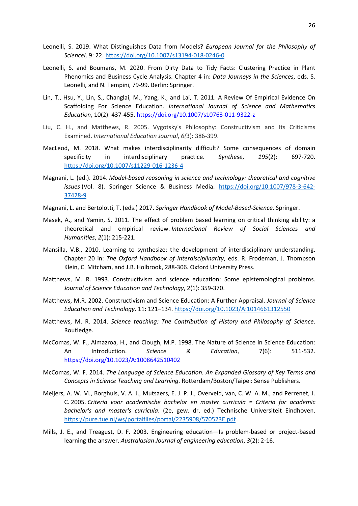- Leonelli, S. 2019. What Distinguishes Data from Models? *European Journal for the Philosophy of ScienceI,* 9: 22. <https://doi.org/10.1007/s13194-018-0246-0>
- Leonelli, S. and Boumans, M. 2020. From Dirty Data to Tidy Facts: Clustering Practice in Plant Phenomics and Business Cycle Analysis. Chapter 4 in: *Data Journeys in the Sciences*, eds. S. Leonelli, and N. Tempini, 79-99. Berlin: Springer.
- Lin, T., Hsu, Y., Lin, S., Changlai, M., Yang, K., and Lai, T. 2011. A Review Of Empirical Evidence On Scaffolding For Science Education. *International Journal of Science and Mathematics Education*, 10(2): 437-455.<https://doi.org/10.1007/s10763-011-9322-z>
- Liu, C. H., and Matthews, R. 2005. Vygotsky's Philosophy: Constructivism and Its Criticisms Examined. *International Education Journal*, *6(*3): 386-399.
- MacLeod, M. 2018. What makes interdisciplinarity difficult? Some consequences of domain specificity in interdisciplinary practice. *Synthese*, *195*(2): 697-720. <https://doi.org/10.1007/s11229-016-1236-4>
- Magnani, L. (ed.). 2014. *Model-based reasoning in science and technology: theoretical and cognitive issues* (Vol. 8). Springer Science & Business Media. [https://doi.org/10.1007/978-3-642-](https://doi.org/10.1007/978-3-642-37428-9) [37428-9](https://doi.org/10.1007/978-3-642-37428-9)
- Magnani, L. and Bertolotti, T. (eds.) 2017. *Springer Handbook of Model-Based-Science*. Springer.
- Masek, A., and Yamin, S. 2011. The effect of problem based learning on critical thinking ability: a theoretical and empirical review. *International Review of Social Sciences and Humanities*, *2*(1): 215-221.
- Mansilla, V.B., 2010. Learning to synthesize: the development of interdisciplinary understanding. Chapter 20 in: *The Oxford Handbook of Interdisciplinarity*, eds. R. Frodeman, J. Thompson Klein, C. Mitcham, and J.B. Holbrook, 288-306. Oxford University Press.
- Matthews, M. R. 1993. Constructivism and science education: Some epistemological problems. *Journal of Science Education and Technology*, 2(1): 359-370.
- Matthews, M.R. 2002. Constructivism and Science Education: A Further Appraisal. *Journal of Science Education and Technology*. 11: 121–134.<https://doi.org/10.1023/A:1014661312550>
- Matthews, M. R. 2014. *Science teaching: The Contribution of History and Philosophy of Science*. Routledge.
- McComas, W. F., Almazroa, H., and Clough, M.P. 1998. The Nature of Science in Science Education: An Introduction. *Science & Education*, 7(6): 511-532. <https://doi.org/10.1023/A:1008642510402>
- McComas, W. F. 2014. *The Language of Science Education. An Expanded Glossary of Key Terms and Concepts in Science Teaching and Learning*. Rotterdam/Boston/Taipei: Sense Publishers.
- Meijers, A. W. M., Borghuis, V. A. J., Mutsaers, E. J. P. J., Overveld, van, C. W. A. M., and Perrenet, J. C. 2005. *Criteria voor academische bachelor en master curricula = Criteria for academic bachelor's and master's curricula*. (2e, gew. dr. ed.) Technische Universiteit Eindhoven. <https://pure.tue.nl/ws/portalfiles/portal/2235908/570523E.pdf>
- Mills, J. E., and Treagust, D. F. 2003. Engineering education—Is problem-based or project-based learning the answer. *Australasian Journal of engineering education*, *3*(2): 2-16.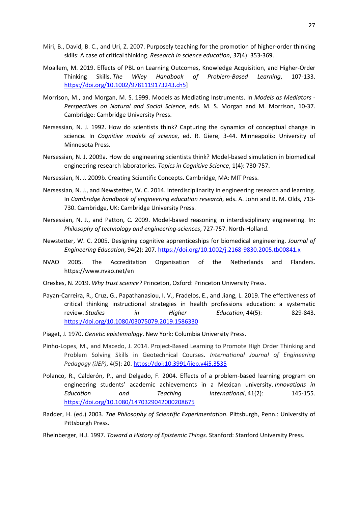- Miri, B., David, B. C., and Uri, Z. 2007. Purposely teaching for the promotion of higher-order thinking skills: A case of critical thinking. *Research in science education*, *37*(4): 353-369.
- Moallem, M. 2019. Effects of PBL on Learning Outcomes, Knowledge Acquisition, and Higher-Order Thinking Skills. *The Wiley Handbook of Problem-Based Learning*, 107-133. [https://doi.org/10.1002/9781119173243.ch5\]](https://doi.org/10.1002/9781119173243.ch5)
- Morrison, M., and Morgan, M. S. 1999. Models as Mediating Instruments. In *Models as Mediators - Perspectives on Natural and Social Science*, eds. M. S. Morgan and M. Morrison, 10-37. Cambridge: Cambridge University Press.
- Nersessian, N. J. 1992. How do scientists think? Capturing the dynamics of conceptual change in science. In *Cognitive models of science*, ed. R. Giere, 3-44. Minneapolis: University of Minnesota Press.
- Nersessian, N. J. 2009a. How do engineering scientists think? Model-based simulation in biomedical engineering research laboratories. *Topics in Cognitive Science*, 1(4): 730-757.
- Nersessian, N. J. 2009b. Creating Scientific Concepts. Cambridge, MA: MIT Press.
- Nersessian, N. J., and Newstetter, W. C. 2014. Interdisciplinarity in engineering research and learning. In *Cambridge handbook of engineering education research*, eds. A. Johri and B. M. Olds, 713- 730. Cambridge, UK: Cambridge University Press.
- Nersessian, N. J., and Patton, C. 2009. Model-based reasoning in interdisciplinary engineering. In: *Philosophy of technology and engineering-sciences*, 727-757. North-Holland.
- Newstetter, W. C. 2005. Designing cognitive apprenticeships for biomedical engineering. *Journal of Engineering Education*, 94(2): 207. <https://doi.org/10.1002/j.2168-9830.2005.tb00841.x>
- NVAO 2005. The Accreditation Organisation of the Netherlands and Flanders. <https://www.nvao.net/en>
- Oreskes, N. 2019. *Why trust science?* Princeton, Oxford: Princeton University Press.
- Payan-Carreira, R., Cruz, G., Papathanasiou, I. V., Fradelos, E., and Jiang, L. 2019. The effectiveness of critical thinking instructional strategies in health professions education: a systematic review. *Studies in Higher Education*, 44(5): 829-843. <https://doi.org/10.1080/03075079.2019.1586330>
- Piaget, J. 1970. *Genetic epistemology*. New York: Columbia University Press.
- Pinho-Lopes, M., and Macedo, J. 2014. Project-Based Learning to Promote High Order Thinking and Problem Solving Skills in Geotechnical Courses. *International Journal of Engineering Pedagogy (iJEP)*, 4(5): 20.<https://doi:10.3991/ijep.v4i5.3535>
- Polanco, R., Calderón, P., and Delgado, F. 2004. Effects of a problem-based learning program on engineering students' academic achievements in a Mexican university. *Innovations in Education and Teaching International*, 41(2): 145-155. <https://doi.org/10.1080/1470329042000208675>
- Radder, H. (ed.) 2003. *The Philosophy of Scientific Experimentation*. Pittsburgh, Penn.: University of Pittsburgh Press.

Rheinberger, H.J. 1997. *Toward a History of Epistemic Things*. Stanford: Stanford University Press.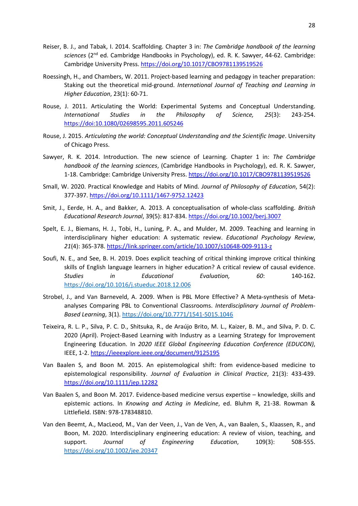- Reiser, B. J., and Tabak, I. 2014. Scaffolding. Chapter 3 in: *The Cambridge handbook of the learning sciences* (2nd ed. Cambridge Handbooks in Psychology), ed. R. K. Sawyer, 44-62. Cambridge: Cambridge University Press.<https://doi.org/10.1017/CBO9781139519526>
- Roessingh, H., and Chambers, W. 2011. Project-based learning and pedagogy in teacher preparation: Staking out the theoretical mid-ground. *International Journal of Teaching and Learning in Higher Education*, 23(1): 60-71.
- Rouse, J. 2011. Articulating the World: Experimental Systems and Conceptual Understanding. *International Studies in the Philosophy of Science, 25*(3): 243-254. <https://doi:10.1080/02698595.2011.605246>
- Rouse, J. 2015. *Articulating the world: Conceptual Understanding and the Scientific Image*. University of Chicago Press.
- Sawyer, R. K. 2014. Introduction. The new science of Learning. Chapter 1 in: *The Cambridge handbook of the learning sciences*, (Cambridge Handbooks in Psychology), ed. R. K. Sawyer, 1-18. Cambridge: Cambridge University Press[. https://doi.org/10.1017/CBO9781139519526](https://doi.org/10.1017/CBO9781139519526)
- Small, W. 2020. Practical Knowledge and Habits of Mind*. Journal of Philosophy of Education*, 54(2): 377-397.<https://doi.org/10.1111/1467-9752.12423>
- Smit, J., Eerde, H. A., and Bakker, A. 2013. A conceptualisation of whole-class scaffolding. *British Educational Research Journal*, 39(5): 817-834[. https://doi.org/10.1002/berj.3007](https://doi.org/10.1002/berj.3007)
- Spelt, E. J., Biemans, H. J., Tobi, H., Luning, P. A., and Mulder, M. 2009. Teaching and learning in interdisciplinary higher education: A systematic review. *Educational Psychology Review*, *21*(4): 365-378.<https://link.springer.com/article/10.1007/s10648-009-9113-z>
- Soufi, N. E., and See, B. H. 2019. Does explicit teaching of critical thinking improve critical thinking skills of English language learners in higher education? A critical review of causal evidence. *Studies in Educational Evaluation, 60*: 140-162. <https://doi.org/10.1016/j.stueduc.2018.12.006>
- Strobel, J., and Van Barneveld, A. 2009. When is PBL More Effective? A Meta-synthesis of Metaanalyses Comparing PBL to Conventional Classrooms. *Interdisciplinary Journal of Problem-Based Learning*, 3(1).<https://doi.org/10.7771/1541-5015.1046>
- Teixeira, R. L. P., Silva, P. C. D., Shitsuka, R., de Araújo Brito, M. L., Kaizer, B. M., and Silva, P. D. C. 2020 (April). Project-Based Learning with Industry as a Learning Strategy for Improvement Engineering Education. In *2020 IEEE Global Engineering Education Conference (EDUCON)*, IEEE, 1-2[. https://ieeexplore.ieee.org/document/9125195](https://ieeexplore.ieee.org/document/9125195)
- Van Baalen S, and Boon M. 2015. An epistemological shift: from evidence-based medicine to epistemological responsibility. *Journal of Evaluation in Clinical Practice*, 21(3): 433-439. <https://doi.org/10.1111/jep.12282>
- Van Baalen S, and Boon M. 2017. Evidence-based medicine versus expertise knowledge, skills and epistemic actions. In *Knowing and Acting in Medicine*, ed. Bluhm R, 21-38. Rowman & Littlefield. ISBN: 978-178348810.
- Van den Beemt, A., MacLeod, M., Van der Veen, J., Van de Ven, A., van Baalen, S., Klaassen, R., and Boon, M. 2020. Interdisciplinary engineering education: A review of vision, teaching, and support. *Journal of Engineering Education*, 109(3): 508-555. <https://doi.org/10.1002/jee.20347>